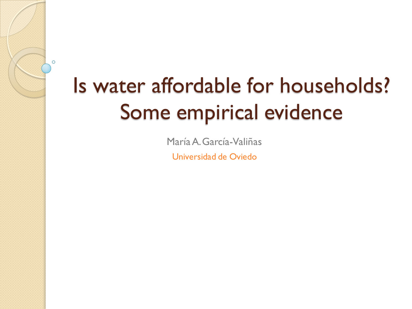# Is water affordable for households? Some empirical evidence

MaríaA. García-Valiñas

 $\circ$ 

Universidad de Oviedo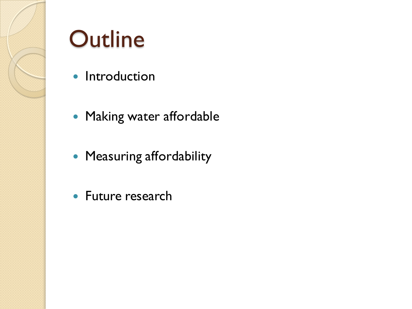

# **Outline**

- Introduction
- Making water affordable
- **Measuring affordability**
- Future research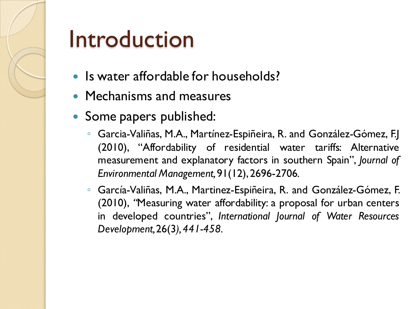# Introduction

- Is water affordable for households?
- Mechanisms and measures
- Some papers published:
	- Garcia-Valiñas, M.A., Martínez-Espiñeira, R. and González-Gómez, F.J (2010), "Affordability of residential water tariffs: Alternative measurement and explanatory factors in southern Spain", *Journal of Environmental Management,*91(12),2696-2706*.*
	- García-Valiñas, M.A., Martinez-Espiñeira, R. and González-Gómez, F. (2010), *"*Measuring water affordability: a proposal for urban centers in developed countries", *International Journal of Water Resources Development,*26(3*),441-458.*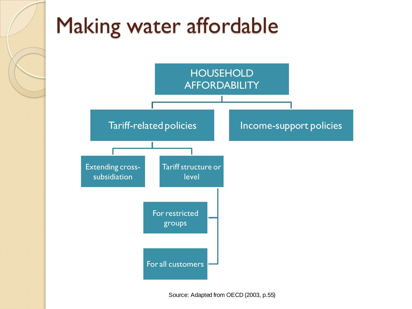### Making water affordable



Source: Adapted from OECD (2003, p.55)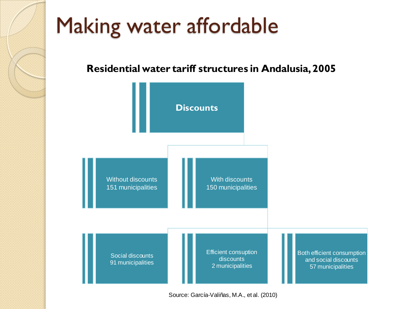## Making water affordable

#### **Residential water tariff structures in Andalusia, 2005**



Source: García-Valiñas, M.A., et al. (2010)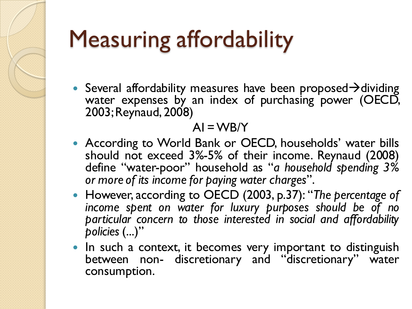• Several affordability measures have been proposed  $\rightarrow$  dividing water expenses by an index of purchasing power (OECD, 2003;Reynaud, 2008)

### $AI = WB/Y$

- According to World Bank or OECD, households' water bills should not exceed 3%-5% of their income. Reynaud (2008) define "water-poor" household as "*a household spending 3% or more of its income for paying water charges*".
- However, according to OECD (2003, p.37): "*The percentage of income spent on water for luxury purposes should be of no particular concern to those interested in social and affordability policies* (...)"
- In such a context, it becomes very important to distinguish between non- discretionary and "discretionary" water consumption.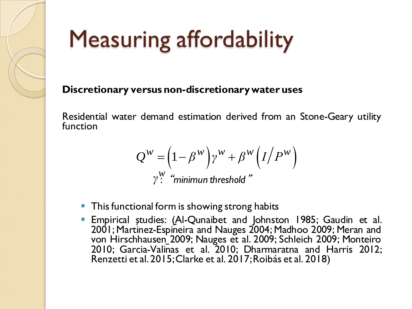

#### **Discretionary versus non-discretionarywater uses**

Residential water demand estimation derived from an Stone-Geary utility function

$$
Q^{W} = (1 - \beta^{W}) \gamma^{W} + \beta^{W} (I/P^{W})
$$
  

$$
\gamma^{W}
$$
 "minimum threshold"

- $\blacksquare$  This functional form is showing strong habits
- Empirical studies: (Al-Qunaibet and Johnston 1985; Gaudin et al. 2001; Martínez-Espiñeira and Nauges 2004; Madhoo 2009; Meran and von Hirschhausen 2009; Nauges et al. 2009; Schleich 2009; Monteiro 2010; Garcia-Valiñas et al. 2010; Dharmaratna and Harris 2012; Renzetti et al. 2015;Clarke et al. 2017;Roibás et al. 2018)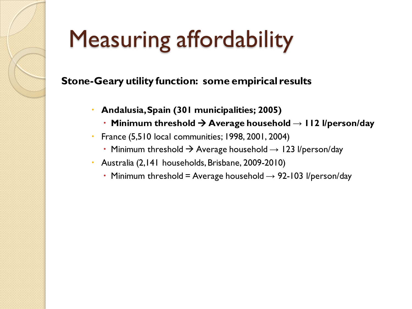#### **Stone-Geary utility function: some empirical results**

- **Andalusia,Spain (301 municipalities; 2005)**
	- **Minimum threshold Average household → 112 l/person/day**
- France (5,510 local communities; 1998, 2001, 2004)
	- Minimum threshold  $\rightarrow$  Average household  $\rightarrow$  123 l/person/day
- Australia (2,141 households, Brisbane, 2009-2010)
	- Minimum threshold = Average household  $\rightarrow$  92-103 l/person/day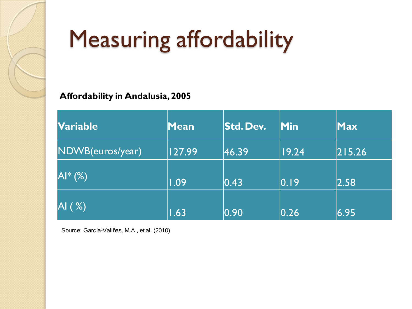

#### **Affordability in Andalusia, 2005**

| <b>Variable</b>  | <b>Mean</b> | <b>Std. Dev.</b> | Min   | <b>Max</b> |
|------------------|-------------|------------------|-------|------------|
| NDWB(euros/year) | 127.99      | 46.39            | 19.24 | 215.26     |
| $AI*$ (%)        | 1.09        | 0.43             | 0.19  | 2.58       |
| AI (%)           | 1.63        | 0.90             | 0.26  | 6.95       |

Source: García-Valiñas, M.A., et al. (2010)